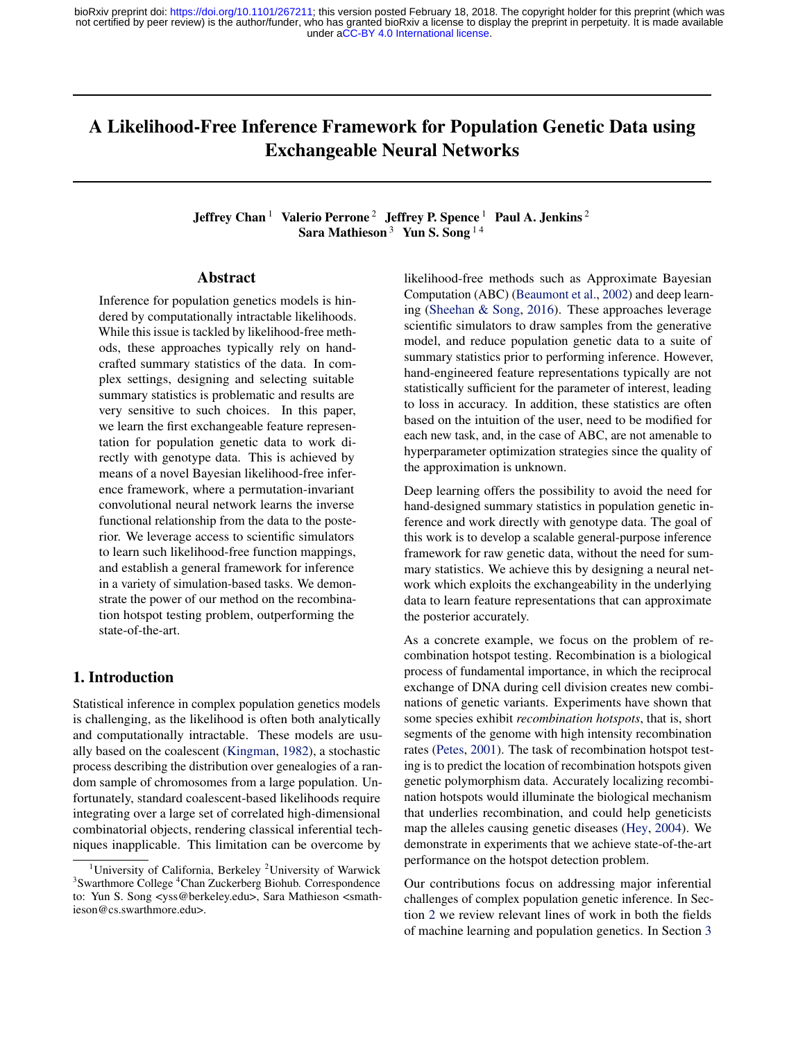# A Likelihood-Free Inference Framework for Population Genetic Data using Exchangeable Neural Networks

# Jeffrey Chan<sup>1</sup> Valerio Perrone<sup>2</sup> Jeffrey P. Spence<sup>1</sup> Paul A. Jenkins<sup>2</sup> Sara Mathieson<sup>3</sup> Yun S. Song<sup>14</sup>

#### Abstract

Inference for population genetics models is hindered by computationally intractable likelihoods. While this issue is tackled by likelihood-free methods, these approaches typically rely on handcrafted summary statistics of the data. In complex settings, designing and selecting suitable summary statistics is problematic and results are very sensitive to such choices. In this paper, we learn the first exchangeable feature representation for population genetic data to work directly with genotype data. This is achieved by means of a novel Bayesian likelihood-free inference framework, where a permutation-invariant convolutional neural network learns the inverse functional relationship from the data to the posterior. We leverage access to scientific simulators to learn such likelihood-free function mappings, and establish a general framework for inference in a variety of simulation-based tasks. We demonstrate the power of our method on the recombination hotspot testing problem, outperforming the state-of-the-art.

# 1. Introduction

Statistical inference in complex population genetics models is challenging, as the likelihood is often both analytically and computationally intractable. These models are usually based on the coalescent [\(Kingman,](#page-9-0) [1982\)](#page-9-0), a stochastic process describing the distribution over genealogies of a random sample of chromosomes from a large population. Unfortunately, standard coalescent-based likelihoods require integrating over a large set of correlated high-dimensional combinatorial objects, rendering classical inferential techniques inapplicable. This limitation can be overcome by

likelihood-free methods such as Approximate Bayesian Computation (ABC) [\(Beaumont et al.,](#page-8-0) [2002\)](#page-8-0) and deep learning [\(Sheehan & Song,](#page-9-0) [2016\)](#page-9-0). These approaches leverage scientific simulators to draw samples from the generative model, and reduce population genetic data to a suite of summary statistics prior to performing inference. However, hand-engineered feature representations typically are not statistically sufficient for the parameter of interest, leading to loss in accuracy. In addition, these statistics are often based on the intuition of the user, need to be modified for each new task, and, in the case of ABC, are not amenable to hyperparameter optimization strategies since the quality of the approximation is unknown.

Deep learning offers the possibility to avoid the need for hand-designed summary statistics in population genetic inference and work directly with genotype data. The goal of this work is to develop a scalable general-purpose inference framework for raw genetic data, without the need for summary statistics. We achieve this by designing a neural network which exploits the exchangeability in the underlying data to learn feature representations that can approximate the posterior accurately.

As a concrete example, we focus on the problem of recombination hotspot testing. Recombination is a biological process of fundamental importance, in which the reciprocal exchange of DNA during cell division creates new combinations of genetic variants. Experiments have shown that some species exhibit *recombination hotspots*, that is, short segments of the genome with high intensity recombination rates [\(Petes,](#page-9-0) [2001\)](#page-9-0). The task of recombination hotspot testing is to predict the location of recombination hotspots given genetic polymorphism data. Accurately localizing recombination hotspots would illuminate the biological mechanism that underlies recombination, and could help geneticists map the alleles causing genetic diseases [\(Hey,](#page-9-0) [2004\)](#page-9-0). We demonstrate in experiments that we achieve state-of-the-art performance on the hotspot detection problem.

Our contributions focus on addressing major inferential challenges of complex population genetic inference. In Section [2](#page-1-0) we review relevant lines of work in both the fields of machine learning and population genetics. In Section [3](#page-1-0)

<sup>&</sup>lt;sup>1</sup>University of California, Berkeley <sup>2</sup>University of Warwick <sup>3</sup>Swarthmore College <sup>4</sup>Chan Zuckerberg Biohub. Correspondence to: Yun S. Song <yss@berkeley.edu>, Sara Mathieson <smathieson@cs.swarthmore.edu>.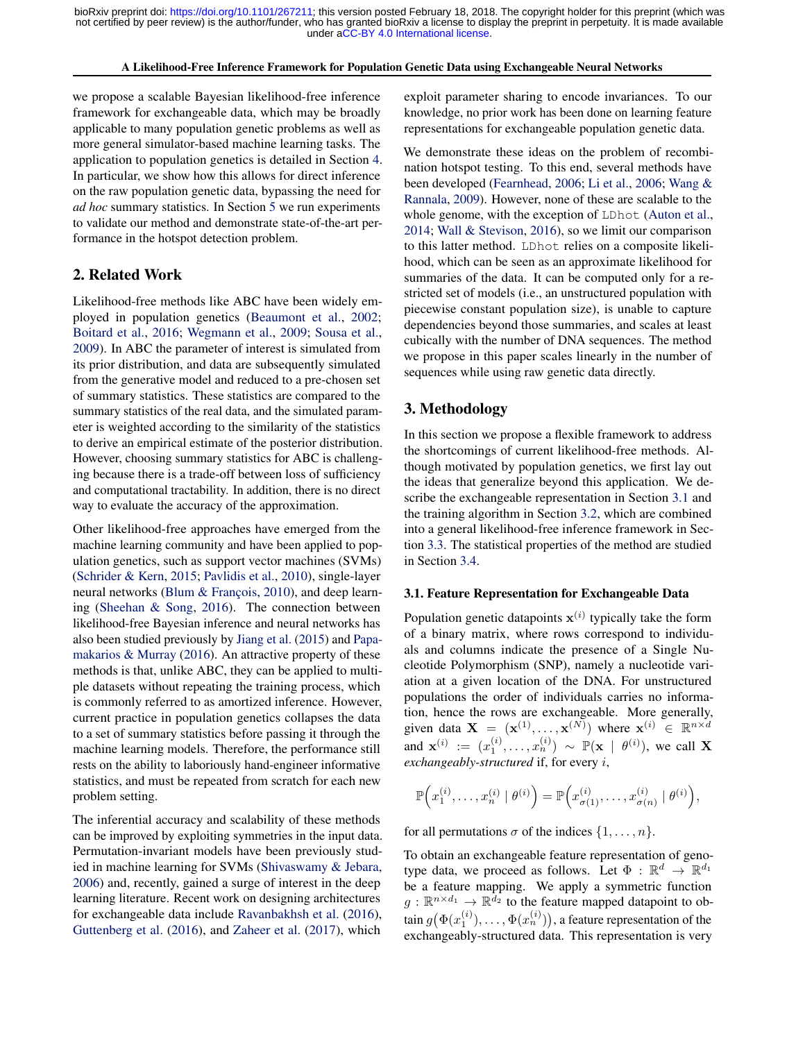#### A Likelihood-Free Inference Framework for Population Genetic Data using Exchangeable Neural Networks

<span id="page-1-0"></span>we propose a scalable Bayesian likelihood-free inference framework for exchangeable data, which may be broadly applicable to many population genetic problems as well as more general simulator-based machine learning tasks. The application to population genetics is detailed in Section [4.](#page-4-0) In particular, we show how this allows for direct inference on the raw population genetic data, bypassing the need for *ad hoc* summary statistics. In Section [5](#page-5-0) we run experiments to validate our method and demonstrate state-of-the-art performance in the hotspot detection problem.

# 2. Related Work

Likelihood-free methods like ABC have been widely employed in population genetics [\(Beaumont et al.,](#page-8-0) [2002;](#page-8-0) [Boitard et al.,](#page-8-0) [2016;](#page-8-0) [Wegmann et al.,](#page-10-0) [2009;](#page-10-0) [Sousa et al.,](#page-9-0) [2009\)](#page-9-0). In ABC the parameter of interest is simulated from its prior distribution, and data are subsequently simulated from the generative model and reduced to a pre-chosen set of summary statistics. These statistics are compared to the summary statistics of the real data, and the simulated parameter is weighted according to the similarity of the statistics to derive an empirical estimate of the posterior distribution. However, choosing summary statistics for ABC is challenging because there is a trade-off between loss of sufficiency and computational tractability. In addition, there is no direct way to evaluate the accuracy of the approximation.

Other likelihood-free approaches have emerged from the machine learning community and have been applied to population genetics, such as support vector machines (SVMs) [\(Schrider & Kern,](#page-9-0) [2015;](#page-9-0) [Pavlidis et al.,](#page-9-0) [2010\)](#page-9-0), single-layer neural networks [\(Blum & François,](#page-8-0) [2010\)](#page-8-0), and deep learning [\(Sheehan & Song,](#page-9-0) [2016\)](#page-9-0). The connection between likelihood-free Bayesian inference and neural networks has also been studied previously by [Jiang et al.](#page-9-0) [\(2015\)](#page-9-0) and [Papa](#page-9-0)[makarios & Murray](#page-9-0) [\(2016\)](#page-9-0). An attractive property of these methods is that, unlike ABC, they can be applied to multiple datasets without repeating the training process, which is commonly referred to as amortized inference. However, current practice in population genetics collapses the data to a set of summary statistics before passing it through the machine learning models. Therefore, the performance still rests on the ability to laboriously hand-engineer informative statistics, and must be repeated from scratch for each new problem setting.

The inferential accuracy and scalability of these methods can be improved by exploiting symmetries in the input data. Permutation-invariant models have been previously studied in machine learning for SVMs [\(Shivaswamy & Jebara,](#page-9-0) [2006\)](#page-9-0) and, recently, gained a surge of interest in the deep learning literature. Recent work on designing architectures for exchangeable data include [Ravanbakhsh et al.](#page-9-0) [\(2016\)](#page-9-0), [Guttenberg et al.](#page-9-0) [\(2016\)](#page-9-0), and [Zaheer et al.](#page-10-0) [\(2017\)](#page-10-0), which

exploit parameter sharing to encode invariances. To our knowledge, no prior work has been done on learning feature representations for exchangeable population genetic data.

We demonstrate these ideas on the problem of recombination hotspot testing. To this end, several methods have been developed [\(Fearnhead,](#page-8-0) [2006;](#page-8-0) [Li et al.,](#page-9-0) [2006;](#page-9-0) [Wang &](#page-10-0) [Rannala,](#page-10-0) [2009\)](#page-10-0). However, none of these are scalable to the whole genome, with the exception of LDhot [\(Auton et al.,](#page-8-0) [2014;](#page-8-0) [Wall & Stevison,](#page-10-0) [2016\)](#page-10-0), so we limit our comparison to this latter method. LDhot relies on a composite likelihood, which can be seen as an approximate likelihood for summaries of the data. It can be computed only for a restricted set of models (i.e., an unstructured population with piecewise constant population size), is unable to capture dependencies beyond those summaries, and scales at least cubically with the number of DNA sequences. The method we propose in this paper scales linearly in the number of sequences while using raw genetic data directly.

# 3. Methodology

In this section we propose a flexible framework to address the shortcomings of current likelihood-free methods. Although motivated by population genetics, we first lay out the ideas that generalize beyond this application. We describe the exchangeable representation in Section 3.1 and the training algorithm in Section [3.2,](#page-2-0) which are combined into a general likelihood-free inference framework in Section [3.3.](#page-3-0) The statistical properties of the method are studied in Section [3.4.](#page-3-0)

#### 3.1. Feature Representation for Exchangeable Data

Population genetic datapoints  $x^{(i)}$  typically take the form of a binary matrix, where rows correspond to individuals and columns indicate the presence of a Single Nucleotide Polymorphism (SNP), namely a nucleotide variation at a given location of the DNA. For unstructured populations the order of individuals carries no information, hence the rows are exchangeable. More generally, given data  $\mathbf{X} = (\mathbf{x}^{(1)}, \dots, \mathbf{x}^{(N)})$  where  $\mathbf{x}^{(i)} \in \mathbb{R}^{n \times d}$ and  $\mathbf{x}^{(i)} := (x_1^{(i)}, \dots, x_n^{(i)}) \sim \mathbb{P}(\mathbf{x} \mid \theta^{(i)})$ , we call X *exchangeably-structured* if, for every i,

$$
\mathbb{P}\Big(x_1^{(i)},\ldots,x_n^{(i)}\mid\theta^{(i)}\Big)=\mathbb{P}\Big(x_{\sigma(1)}^{(i)},\ldots,x_{\sigma(n)}^{(i)}\mid\theta^{(i)}\Big),\,
$$

for all permutations  $\sigma$  of the indices  $\{1, \ldots, n\}$ .

To obtain an exchangeable feature representation of genotype data, we proceed as follows. Let  $\Phi : \mathbb{R}^d \to \mathbb{R}^{d_1}$ be a feature mapping. We apply a symmetric function  $g: \mathbb{R}^{n \times d_1} \to \mathbb{R}^{\overline{d_2}}$  to the feature mapped datapoint to obtain  $g\bigl(\Phi(x_1^{(i)}),\ldots,\Phi(x_n^{(i)})\bigr)$ , a feature representation of the exchangeably-structured data. This representation is very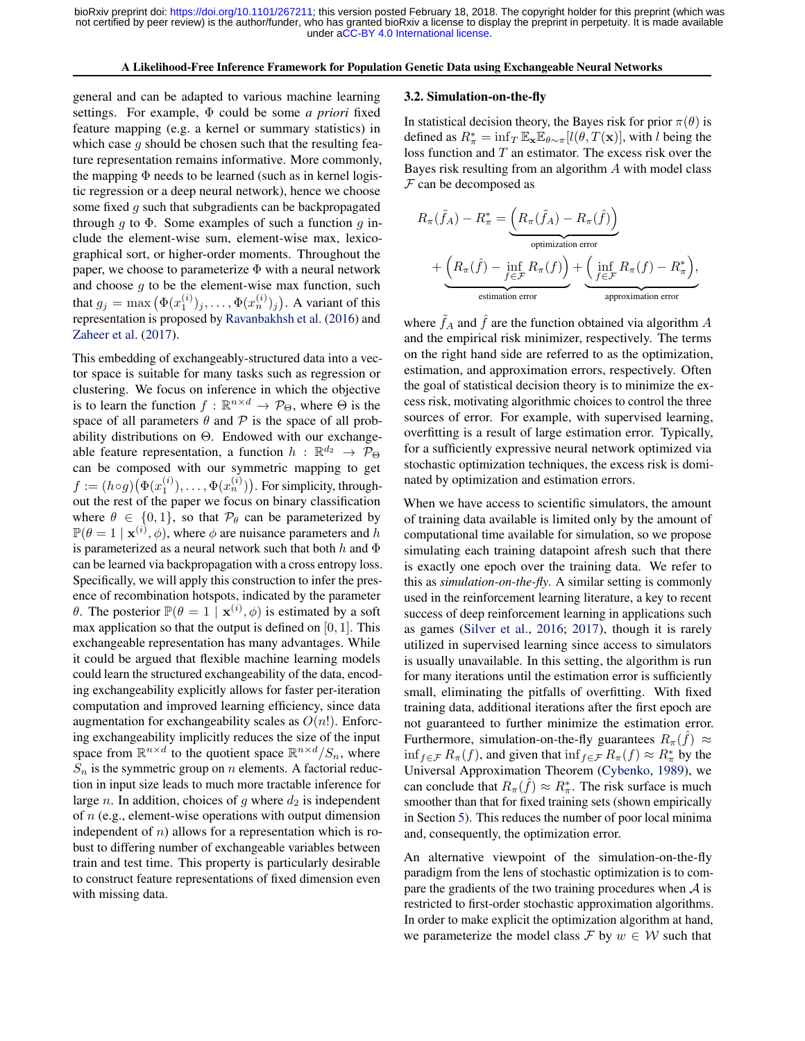#### A Likelihood-Free Inference Framework for Population Genetic Data using Exchangeable Neural Networks

<span id="page-2-0"></span>general and can be adapted to various machine learning settings. For example, Φ could be some *a priori* fixed feature mapping (e.g. a kernel or summary statistics) in which case  $g$  should be chosen such that the resulting feature representation remains informative. More commonly, the mapping  $\Phi$  needs to be learned (such as in kernel logistic regression or a deep neural network), hence we choose some fixed g such that subgradients can be backpropagated through g to  $\Phi$ . Some examples of such a function g include the element-wise sum, element-wise max, lexicographical sort, or higher-order moments. Throughout the paper, we choose to parameterize  $\Phi$  with a neural network and choose  $q$  to be the element-wise max function, such that  $g_j = \max (\Phi(x_1^{(i)})_j, \dots, \Phi(x_n^{(i)})_j)$ . A variant of this representation is proposed by [Ravanbakhsh et al.](#page-9-0) [\(2016\)](#page-9-0) and [Zaheer et al.](#page-10-0) [\(2017\)](#page-10-0).

This embedding of exchangeably-structured data into a vector space is suitable for many tasks such as regression or clustering. We focus on inference in which the objective is to learn the function  $f : \mathbb{R}^{n \times d} \to \mathcal{P}_{\Theta}$ , where  $\Theta$  is the space of all parameters  $\theta$  and  $\mathcal P$  is the space of all probability distributions on Θ. Endowed with our exchangeable feature representation, a function  $h : \mathbb{R}^{d_2} \to \overline{\mathcal{P}}_{\Theta}$ can be composed with our symmetric mapping to get  $f := (h \circ g) \big( \Phi(x_1^{(i)}), \dots, \Phi(x_n^{(i)}) \big)$ . For simplicity, throughout the rest of the paper we focus on binary classification where  $\theta \in \{0, 1\}$ , so that  $\mathcal{P}_{\theta}$  can be parameterized by  $\mathbb{P}(\theta = 1 \mid \mathbf{x}^{(i)}, \phi)$ , where  $\phi$  are nuisance parameters and h is parameterized as a neural network such that both  $h$  and  $\Phi$ can be learned via backpropagation with a cross entropy loss. Specifically, we will apply this construction to infer the presence of recombination hotspots, indicated by the parameter θ. The posterior  $\mathbb{P}(\theta = 1 | \mathbf{x}^{(i)}, \phi)$  is estimated by a soft max application so that the output is defined on  $[0, 1]$ . This exchangeable representation has many advantages. While it could be argued that flexible machine learning models could learn the structured exchangeability of the data, encoding exchangeability explicitly allows for faster per-iteration computation and improved learning efficiency, since data augmentation for exchangeability scales as  $O(n!)$ . Enforcing exchangeability implicitly reduces the size of the input space from  $\mathbb{R}^{n \times d}$  to the quotient space  $\mathbb{R}^{n \times d}/S_n$ , where  $S_n$  is the symmetric group on n elements. A factorial reduction in input size leads to much more tractable inference for large n. In addition, choices of g where  $d_2$  is independent of  $n$  (e.g., element-wise operations with output dimension independent of  $n$ ) allows for a representation which is robust to differing number of exchangeable variables between train and test time. This property is particularly desirable to construct feature representations of fixed dimension even with missing data.

#### 3.2. Simulation-on-the-fly

In statistical decision theory, the Bayes risk for prior  $\pi(\theta)$  is defined as  $R^*_{\pi} = \inf_{T} \mathbb{E}_{\mathbf{x}} \mathbb{E}_{\theta \sim \pi}[l(\theta, T(\mathbf{x})],$  with l being the loss function and  $T$  an estimator. The excess risk over the Bayes risk resulting from an algorithm A with model class  $F$  can be decomposed as

$$
R_{\pi}(\tilde{f}_A) - R_{\pi}^* = \underbrace{\left(R_{\pi}(\tilde{f}_A) - R_{\pi}(\hat{f})\right)}_{\text{optimization error}}
$$
  
+ 
$$
\underbrace{\left(R_{\pi}(\hat{f}) - \inf_{f \in \mathcal{F}} R_{\pi}(f)\right)}_{\text{estimation error}} + \underbrace{\left(\inf_{f \in \mathcal{F}} R_{\pi}(f) - R_{\pi}^*\right)}_{\text{approximation error}},
$$

where  $\hat{f}_A$  and  $\hat{f}$  are the function obtained via algorithm A and the empirical risk minimizer, respectively. The terms on the right hand side are referred to as the optimization, estimation, and approximation errors, respectively. Often the goal of statistical decision theory is to minimize the excess risk, motivating algorithmic choices to control the three sources of error. For example, with supervised learning, overfitting is a result of large estimation error. Typically, for a sufficiently expressive neural network optimized via stochastic optimization techniques, the excess risk is dominated by optimization and estimation errors.

When we have access to scientific simulators, the amount of training data available is limited only by the amount of computational time available for simulation, so we propose simulating each training datapoint afresh such that there is exactly one epoch over the training data. We refer to this as *simulation-on-the-fly*. A similar setting is commonly used in the reinforcement learning literature, a key to recent success of deep reinforcement learning in applications such as games [\(Silver et al.,](#page-9-0) [2016;](#page-9-0) [2017\)](#page-9-0), though it is rarely utilized in supervised learning since access to simulators is usually unavailable. In this setting, the algorithm is run for many iterations until the estimation error is sufficiently small, eliminating the pitfalls of overfitting. With fixed training data, additional iterations after the first epoch are not guaranteed to further minimize the estimation error. Furthermore, simulation-on-the-fly guarantees  $R_{\pi}(\hat{f}) \approx$  $\inf_{f \in \mathcal{F}} R_{\pi}(f)$ , and given that  $\inf_{f \in \mathcal{F}} R_{\pi}(f) \approx R_{\pi}^*$  by the Universal Approximation Theorem [\(Cybenko,](#page-8-0) [1989\)](#page-8-0), we can conclude that  $R_{\pi}(\hat{f}) \approx R_{\pi}^{*}$ . The risk surface is much smoother than that for fixed training sets (shown empirically in Section [5\)](#page-5-0). This reduces the number of poor local minima and, consequently, the optimization error.

An alternative viewpoint of the simulation-on-the-fly paradigm from the lens of stochastic optimization is to compare the gradients of the two training procedures when  $A$  is restricted to first-order stochastic approximation algorithms. In order to make explicit the optimization algorithm at hand, we parameterize the model class F by  $w \in W$  such that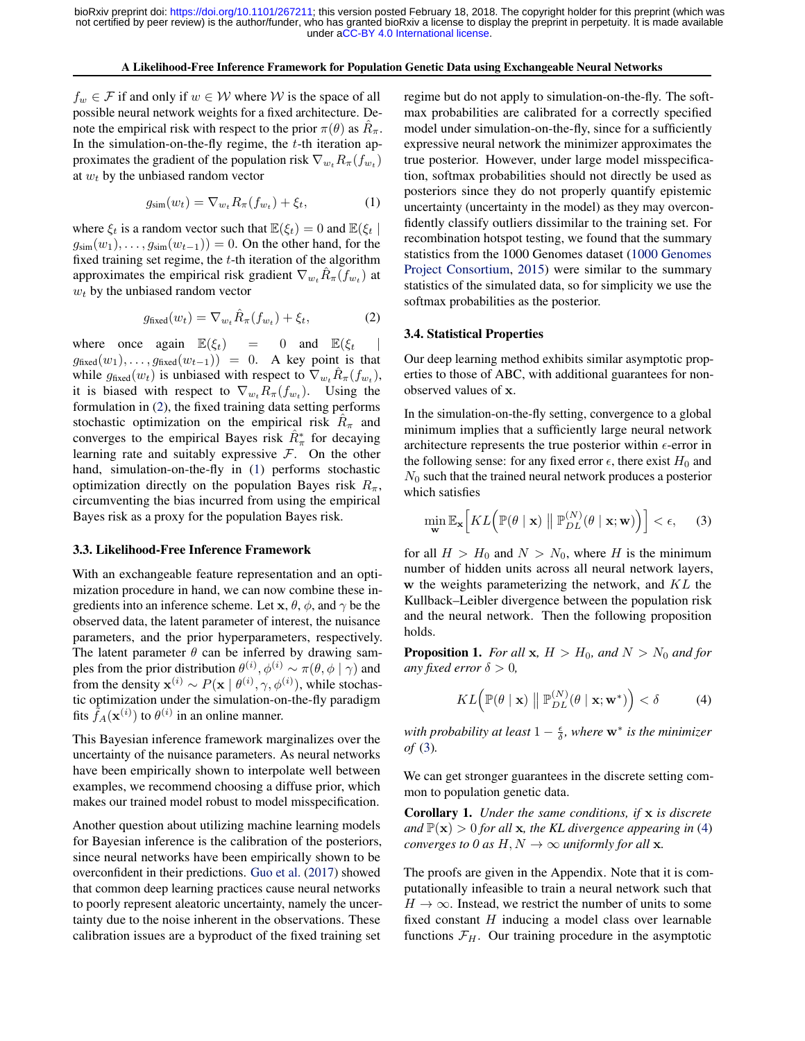#### A Likelihood-Free Inference Framework for Population Genetic Data using Exchangeable Neural Networks

<span id="page-3-0"></span> $f_w \in \mathcal{F}$  if and only if  $w \in \mathcal{W}$  where  $\mathcal{W}$  is the space of all possible neural network weights for a fixed architecture. Denote the empirical risk with respect to the prior  $\pi(\theta)$  as  $\hat{R}_{\pi}$ . In the simulation-on-the-fly regime, the  $t$ -th iteration approximates the gradient of the population risk  $\nabla_{w_t} R_{\pi}(f_{w_t})$ at  $w_t$  by the unbiased random vector

$$
g_{\text{sim}}(w_t) = \nabla_{w_t} R_\pi(f_{w_t}) + \xi_t, \tag{1}
$$

where  $\xi_t$  is a random vector such that  $\mathbb{E}(\xi_t) = 0$  and  $\mathbb{E}(\xi_t | \xi_t)$  $g_{\text{sim}}(w_1), \ldots, g_{\text{sim}}(w_{t-1})$  = 0. On the other hand, for the fixed training set regime, the  $t$ -th iteration of the algorithm approximates the empirical risk gradient  $\nabla_{w_t} \hat{R}_{\pi}(f_{w_t})$  at  $w_t$  by the unbiased random vector

$$
g_{\text{fixed}}(w_t) = \nabla_{w_t} \hat{R}_{\pi}(f_{w_t}) + \xi_t,
$$
 (2)

where once again  $\mathbb{E}(\xi_t) = 0$  and  $\mathbb{E}(\xi_t)$  $g_{\text{fixed}}(w_1), \ldots, g_{\text{fixed}}(w_{t-1}) = 0$ . A key point is that while  $g_{\text{fixed}}(w_t)$  is unbiased with respect to  $\nabla_{w_t} \hat{R}_{\pi}(f_{w_t}),$ it is biased with respect to  $\nabla_{w_t} R_{\pi}(f_{w_t})$ . Using the formulation in (2), the fixed training data setting performs stochastic optimization on the empirical risk  $\hat{R}_{\pi}$  and converges to the empirical Bayes risk  $\hat{R}^*_{\pi}$  for decaying learning rate and suitably expressive  $F$ . On the other hand, simulation-on-the-fly in (1) performs stochastic optimization directly on the population Bayes risk  $R_\pi$ , circumventing the bias incurred from using the empirical Bayes risk as a proxy for the population Bayes risk.

#### 3.3. Likelihood-Free Inference Framework

With an exchangeable feature representation and an optimization procedure in hand, we can now combine these ingredients into an inference scheme. Let  $x, \theta, \phi$ , and  $\gamma$  be the observed data, the latent parameter of interest, the nuisance parameters, and the prior hyperparameters, respectively. The latent parameter  $\theta$  can be inferred by drawing samples from the prior distribution  $\theta^{(i)}$ ,  $\phi^{(i)} \sim \pi(\theta, \phi \mid \gamma)$  and from the density  $\mathbf{x}^{(i)} \sim P(\mathbf{x} \mid \theta^{(i)}, \gamma, \phi^{(i)})$ , while stochastic optimization under the simulation-on-the-fly paradigm fits  $\tilde{f}_A(\mathbf{x}^{(i)})$  to  $\theta^{(i)}$  in an online manner.

This Bayesian inference framework marginalizes over the uncertainty of the nuisance parameters. As neural networks have been empirically shown to interpolate well between examples, we recommend choosing a diffuse prior, which makes our trained model robust to model misspecification.

Another question about utilizing machine learning models for Bayesian inference is the calibration of the posteriors, since neural networks have been empirically shown to be overconfident in their predictions. [Guo et al.](#page-9-0) [\(2017\)](#page-9-0) showed that common deep learning practices cause neural networks to poorly represent aleatoric uncertainty, namely the uncertainty due to the noise inherent in the observations. These calibration issues are a byproduct of the fixed training set

regime but do not apply to simulation-on-the-fly. The softmax probabilities are calibrated for a correctly specified model under simulation-on-the-fly, since for a sufficiently expressive neural network the minimizer approximates the true posterior. However, under large model misspecification, softmax probabilities should not directly be used as posteriors since they do not properly quantify epistemic uncertainty (uncertainty in the model) as they may overconfidently classify outliers dissimilar to the training set. For recombination hotspot testing, we found that the summary statistics from the 1000 Genomes dataset [\(1000 Genomes](#page-8-0) [Project Consortium,](#page-8-0) [2015\)](#page-8-0) were similar to the summary statistics of the simulated data, so for simplicity we use the softmax probabilities as the posterior.

#### 3.4. Statistical Properties

Our deep learning method exhibits similar asymptotic properties to those of ABC, with additional guarantees for nonobserved values of x.

In the simulation-on-the-fly setting, convergence to a global minimum implies that a sufficiently large neural network architecture represents the true posterior within  $\epsilon$ -error in the following sense: for any fixed error  $\epsilon$ , there exist  $H_0$  and  $N_0$  such that the trained neural network produces a posterior which satisfies

$$
\min_{\mathbf{w}} \mathbb{E}_{\mathbf{x}} \Big[ KL \Big( \mathbb{P}(\theta \mid \mathbf{x}) \parallel \mathbb{P}_{DL}^{(N)}(\theta \mid \mathbf{x}; \mathbf{w}) \Big) \Big] < \epsilon, \quad (3)
$$

for all  $H > H_0$  and  $N > N_0$ , where H is the minimum number of hidden units across all neural network layers,  $w$  the weights parameterizing the network, and  $KL$  the Kullback–Leibler divergence between the population risk and the neural network. Then the following proposition holds.

**Proposition 1.** *For all* **x**,  $H > H_0$ *, and*  $N > N_0$  *and for any fixed error*  $\delta > 0$ *,* 

$$
KL\Big(\mathbb{P}(\theta \mid \mathbf{x}) \parallel \mathbb{P}_{DL}^{(N)}(\theta \mid \mathbf{x}; \mathbf{w}^*)\Big) < \delta \tag{4}
$$

*with probability at least*  $1 - \frac{ε}{\delta}$ *, where* **w**<sup>\*</sup> *is the minimizer of* (3)*.*

We can get stronger guarantees in the discrete setting common to population genetic data.

Corollary 1. *Under the same conditions, if* x *is discrete and*  $\mathbb{P}(\mathbf{x}) > 0$  *for all* **x***, the KL divergence appearing in* (4) *converges to 0 as H, N*  $\rightarrow \infty$  *uniformly for all* **x**.

The proofs are given in the Appendix. Note that it is computationally infeasible to train a neural network such that  $H \to \infty$ . Instead, we restrict the number of units to some fixed constant  $H$  inducing a model class over learnable functions  $\mathcal{F}_H$ . Our training procedure in the asymptotic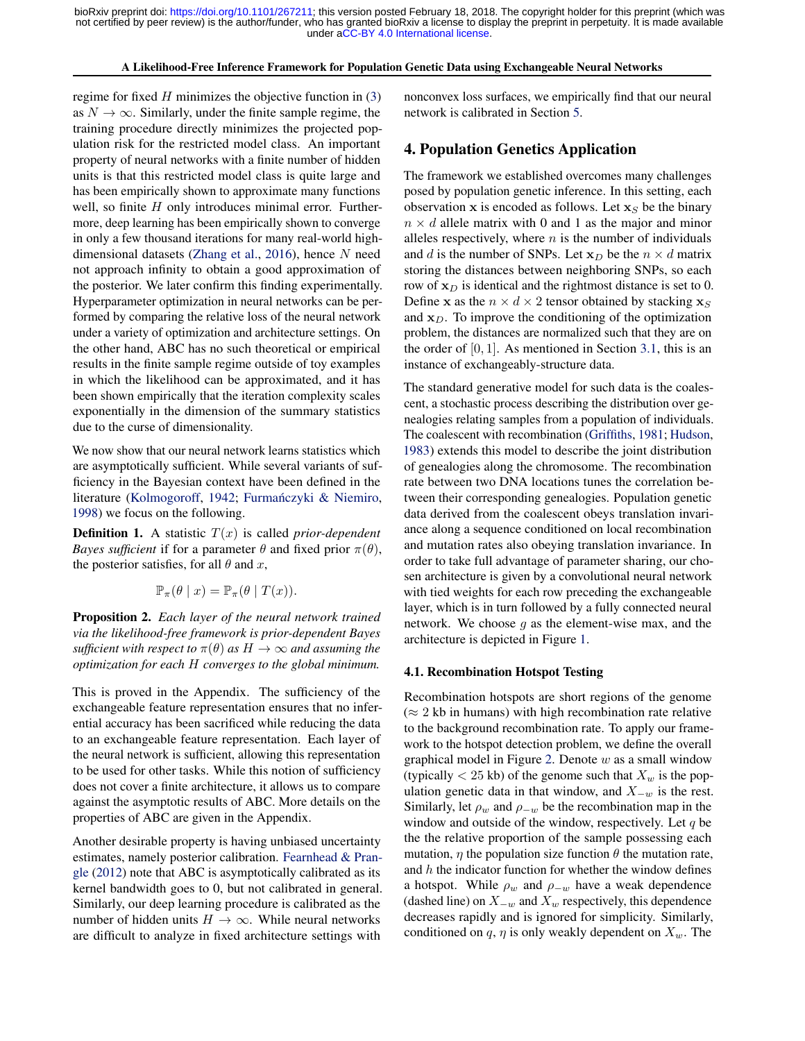#### A Likelihood-Free Inference Framework for Population Genetic Data using Exchangeable Neural Networks

<span id="page-4-0"></span>regime for fixed  $H$  minimizes the objective function in  $(3)$ as  $N \to \infty$ . Similarly, under the finite sample regime, the training procedure directly minimizes the projected population risk for the restricted model class. An important property of neural networks with a finite number of hidden units is that this restricted model class is quite large and has been empirically shown to approximate many functions well, so finite  $H$  only introduces minimal error. Furthermore, deep learning has been empirically shown to converge in only a few thousand iterations for many real-world high-dimensional datasets [\(Zhang et al.,](#page-10-0) [2016\)](#page-10-0), hence  $N$  need not approach infinity to obtain a good approximation of the posterior. We later confirm this finding experimentally. Hyperparameter optimization in neural networks can be performed by comparing the relative loss of the neural network under a variety of optimization and architecture settings. On the other hand, ABC has no such theoretical or empirical results in the finite sample regime outside of toy examples in which the likelihood can be approximated, and it has been shown empirically that the iteration complexity scales exponentially in the dimension of the summary statistics due to the curse of dimensionality.

We now show that our neural network learns statistics which are asymptotically sufficient. While several variants of sufficiency in the Bayesian context have been defined in the literature [\(Kolmogoroff,](#page-9-0) [1942;](#page-9-0) Furmańczyki & Niemiro, [1998\)](#page-8-0) we focus on the following.

**Definition 1.** A statistic  $T(x)$  is called *prior-dependent Bayes sufficient* if for a parameter  $\theta$  and fixed prior  $\pi(\theta)$ , the posterior satisfies, for all  $\theta$  and x,

$$
\mathbb{P}_{\pi}(\theta \mid x) = \mathbb{P}_{\pi}(\theta \mid T(x)).
$$

Proposition 2. *Each layer of the neural network trained via the likelihood-free framework is prior-dependent Bayes sufficient with respect to*  $\pi(\theta)$  *as*  $H \to \infty$  *and assuming the optimization for each* H *converges to the global minimum.*

This is proved in the Appendix. The sufficiency of the exchangeable feature representation ensures that no inferential accuracy has been sacrificed while reducing the data to an exchangeable feature representation. Each layer of the neural network is sufficient, allowing this representation to be used for other tasks. While this notion of sufficiency does not cover a finite architecture, it allows us to compare against the asymptotic results of ABC. More details on the properties of ABC are given in the Appendix.

Another desirable property is having unbiased uncertainty estimates, namely posterior calibration. [Fearnhead & Pran](#page-8-0)[gle](#page-8-0) [\(2012\)](#page-8-0) note that ABC is asymptotically calibrated as its kernel bandwidth goes to 0, but not calibrated in general. Similarly, our deep learning procedure is calibrated as the number of hidden units  $H \to \infty$ . While neural networks are difficult to analyze in fixed architecture settings with

nonconvex loss surfaces, we empirically find that our neural network is calibrated in Section [5.](#page-5-0)

# 4. Population Genetics Application

The framework we established overcomes many challenges posed by population genetic inference. In this setting, each observation x is encoded as follows. Let  $x_S$  be the binary  $n \times d$  allele matrix with 0 and 1 as the major and minor alleles respectively, where  $n$  is the number of individuals and d is the number of SNPs. Let  $x_D$  be the  $n \times d$  matrix storing the distances between neighboring SNPs, so each row of  $x_D$  is identical and the rightmost distance is set to 0. Define x as the  $n \times d \times 2$  tensor obtained by stacking  $x_S$ and  $x_D$ . To improve the conditioning of the optimization problem, the distances are normalized such that they are on the order of  $[0, 1]$ . As mentioned in Section [3.1,](#page-1-0) this is an instance of exchangeably-structure data.

The standard generative model for such data is the coalescent, a stochastic process describing the distribution over genealogies relating samples from a population of individuals. The coalescent with recombination [\(Griffiths,](#page-9-0) [1981;](#page-9-0) [Hudson,](#page-9-0) [1983\)](#page-9-0) extends this model to describe the joint distribution of genealogies along the chromosome. The recombination rate between two DNA locations tunes the correlation between their corresponding genealogies. Population genetic data derived from the coalescent obeys translation invariance along a sequence conditioned on local recombination and mutation rates also obeying translation invariance. In order to take full advantage of parameter sharing, our chosen architecture is given by a convolutional neural network with tied weights for each row preceding the exchangeable layer, which is in turn followed by a fully connected neural network. We choose  $q$  as the element-wise max, and the architecture is depicted in Figure [1.](#page-5-0)

#### 4.1. Recombination Hotspot Testing

Recombination hotspots are short regions of the genome  $(\approx 2 \text{ kb}$  in humans) with high recombination rate relative to the background recombination rate. To apply our framework to the hotspot detection problem, we define the overall graphical model in Figure [2.](#page-5-0) Denote  $w$  as a small window (typically  $\langle 25 \text{ kb} \rangle$  of the genome such that  $X_w$  is the population genetic data in that window, and  $X_{-w}$  is the rest. Similarly, let  $\rho_w$  and  $\rho_{-w}$  be the recombination map in the window and outside of the window, respectively. Let  $q$  be the the relative proportion of the sample possessing each mutation,  $\eta$  the population size function  $\theta$  the mutation rate, and  $h$  the indicator function for whether the window defines a hotspot. While  $\rho_w$  and  $\rho_{-w}$  have a weak dependence (dashed line) on  $X_{-w}$  and  $X_w$  respectively, this dependence decreases rapidly and is ignored for simplicity. Similarly, conditioned on q,  $\eta$  is only weakly dependent on  $X_w$ . The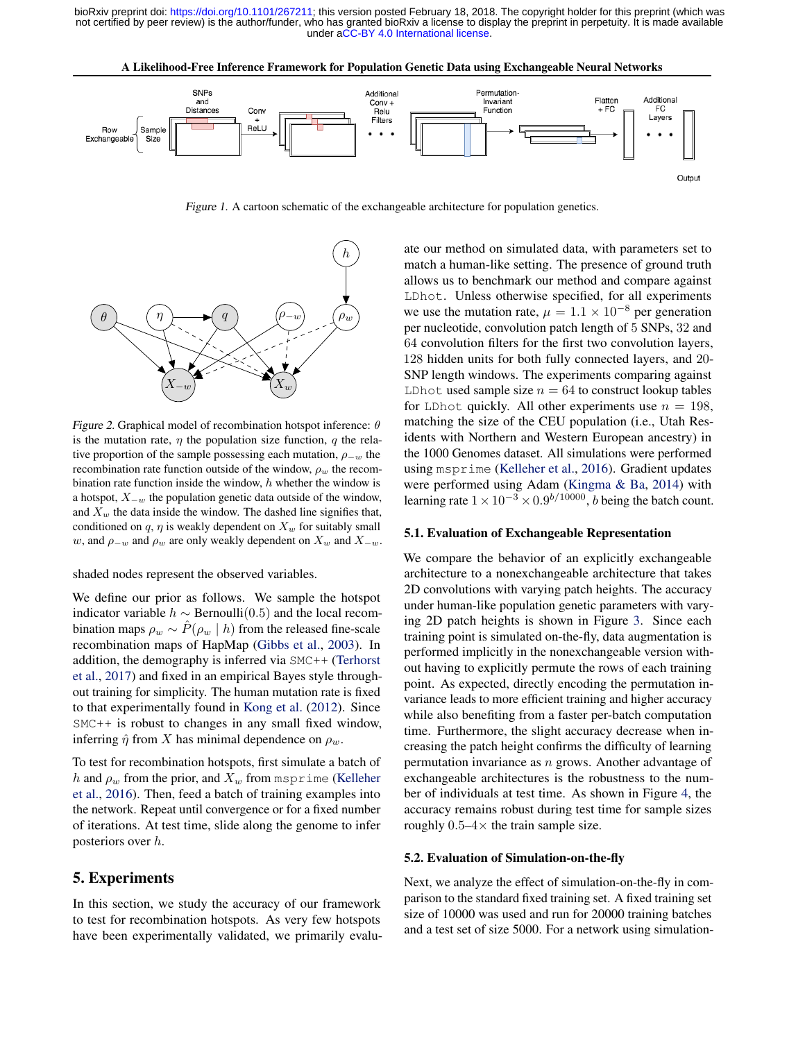

<span id="page-5-0"></span>

Figure 1. A cartoon schematic of the exchangeable architecture for population genetics.



Figure 2. Graphical model of recombination hotspot inference:  $\theta$ is the mutation rate,  $\eta$  the population size function, q the relative proportion of the sample possessing each mutation,  $\rho_{-w}$  the recombination rate function outside of the window,  $\rho_w$  the recombination rate function inside the window,  $h$  whether the window is a hotspot,  $X_{-w}$  the population genetic data outside of the window, and  $X_w$  the data inside the window. The dashed line signifies that, conditioned on  $q$ ,  $\eta$  is weakly dependent on  $X_w$  for suitably small w, and  $\rho_{-w}$  and  $\rho_w$  are only weakly dependent on  $X_w$  and  $X_{-w}$ .

shaded nodes represent the observed variables.

We define our prior as follows. We sample the hotspot indicator variable  $h \sim$  Bernoulli(0.5) and the local recombination maps  $\rho_w \sim \hat{P}(\rho_w \mid h)$  from the released fine-scale recombination maps of HapMap [\(Gibbs et al.,](#page-8-0) [2003\)](#page-8-0). In addition, the demography is inferred via SMC++ [\(Terhorst](#page-9-0) [et al.,](#page-9-0) [2017\)](#page-9-0) and fixed in an empirical Bayes style throughout training for simplicity. The human mutation rate is fixed to that experimentally found in [Kong et al.](#page-9-0) [\(2012\)](#page-9-0). Since SMC++ is robust to changes in any small fixed window, inferring  $\hat{\eta}$  from X has minimal dependence on  $\rho_w$ .

To test for recombination hotspots, first simulate a batch of h and  $\rho_w$  from the prior, and  $X_w$  from msprime [\(Kelleher](#page-9-0) [et al.,](#page-9-0) [2016\)](#page-9-0). Then, feed a batch of training examples into the network. Repeat until convergence or for a fixed number of iterations. At test time, slide along the genome to infer posteriors over h.

# 5. Experiments

In this section, we study the accuracy of our framework to test for recombination hotspots. As very few hotspots have been experimentally validated, we primarily evaluate our method on simulated data, with parameters set to match a human-like setting. The presence of ground truth allows us to benchmark our method and compare against LDhot. Unless otherwise specified, for all experiments we use the mutation rate,  $\mu = 1.1 \times 10^{-8}$  per generation per nucleotide, convolution patch length of 5 SNPs, 32 and 64 convolution filters for the first two convolution layers, 128 hidden units for both fully connected layers, and 20- SNP length windows. The experiments comparing against LDhot used sample size  $n = 64$  to construct lookup tables for LDhot quickly. All other experiments use  $n = 198$ , matching the size of the CEU population (i.e., Utah Residents with Northern and Western European ancestry) in the 1000 Genomes dataset. All simulations were performed using msprime [\(Kelleher et al.,](#page-9-0) [2016\)](#page-9-0). Gradient updates were performed using Adam [\(Kingma & Ba,](#page-9-0) [2014\)](#page-9-0) with learning rate  $1 \times 10^{-3} \times 0.9^{b/10000}$ , *b* being the batch count.

#### 5.1. Evaluation of Exchangeable Representation

We compare the behavior of an explicitly exchangeable architecture to a nonexchangeable architecture that takes 2D convolutions with varying patch heights. The accuracy under human-like population genetic parameters with varying 2D patch heights is shown in Figure [3.](#page-6-0) Since each training point is simulated on-the-fly, data augmentation is performed implicitly in the nonexchangeable version without having to explicitly permute the rows of each training point. As expected, directly encoding the permutation invariance leads to more efficient training and higher accuracy while also benefiting from a faster per-batch computation time. Furthermore, the slight accuracy decrease when increasing the patch height confirms the difficulty of learning permutation invariance as  $n$  grows. Another advantage of exchangeable architectures is the robustness to the number of individuals at test time. As shown in Figure [4,](#page-6-0) the accuracy remains robust during test time for sample sizes roughly  $0.5-4\times$  the train sample size.

#### 5.2. Evaluation of Simulation-on-the-fly

Next, we analyze the effect of simulation-on-the-fly in comparison to the standard fixed training set. A fixed training set size of 10000 was used and run for 20000 training batches and a test set of size 5000. For a network using simulation-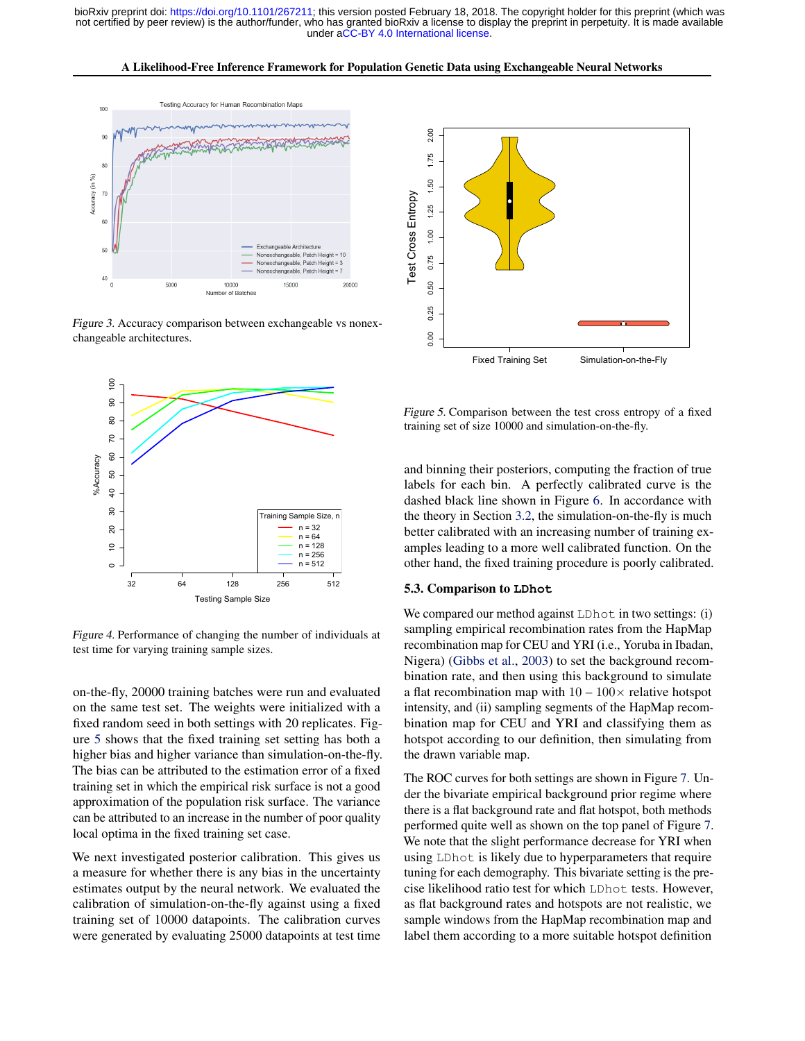A Likelihood-Free Inference Framework for Population Genetic Data using Exchangeable Neural Networks

<span id="page-6-0"></span>

Figure 3. Accuracy comparison between exchangeable vs nonexchangeable architectures.



Figure 4. Performance of changing the number of individuals at test time for varying training sample sizes.

on-the-fly, 20000 training batches were run and evaluated on the same test set. The weights were initialized with a fixed random seed in both settings with 20 replicates. Figure 5 shows that the fixed training set setting has both a higher bias and higher variance than simulation-on-the-fly. The bias can be attributed to the estimation error of a fixed training set in which the empirical risk surface is not a good approximation of the population risk surface. The variance can be attributed to an increase in the number of poor quality local optima in the fixed training set case.

We next investigated posterior calibration. This gives us a measure for whether there is any bias in the uncertainty estimates output by the neural network. We evaluated the calibration of simulation-on-the-fly against using a fixed training set of 10000 datapoints. The calibration curves were generated by evaluating 25000 datapoints at test time



Figure 5. Comparison between the test cross entropy of a fixed training set of size 10000 and simulation-on-the-fly.

and binning their posteriors, computing the fraction of true labels for each bin. A perfectly calibrated curve is the dashed black line shown in Figure [6.](#page-7-0) In accordance with the theory in Section [3.2,](#page-2-0) the simulation-on-the-fly is much better calibrated with an increasing number of training examples leading to a more well calibrated function. On the other hand, the fixed training procedure is poorly calibrated.

#### 5.3. Comparison to **LDhot**

We compared our method against LDhot in two settings: (i) sampling empirical recombination rates from the HapMap recombination map for CEU and YRI (i.e., Yoruba in Ibadan, Nigera) [\(Gibbs et al.,](#page-8-0) [2003\)](#page-8-0) to set the background recombination rate, and then using this background to simulate a flat recombination map with  $10 - 100 \times$  relative hotspot intensity, and (ii) sampling segments of the HapMap recombination map for CEU and YRI and classifying them as hotspot according to our definition, then simulating from the drawn variable map.

The ROC curves for both settings are shown in Figure [7.](#page-7-0) Under the bivariate empirical background prior regime where there is a flat background rate and flat hotspot, both methods performed quite well as shown on the top panel of Figure [7.](#page-7-0) We note that the slight performance decrease for YRI when using LDhot is likely due to hyperparameters that require tuning for each demography. This bivariate setting is the precise likelihood ratio test for which LDhot tests. However, as flat background rates and hotspots are not realistic, we sample windows from the HapMap recombination map and label them according to a more suitable hotspot definition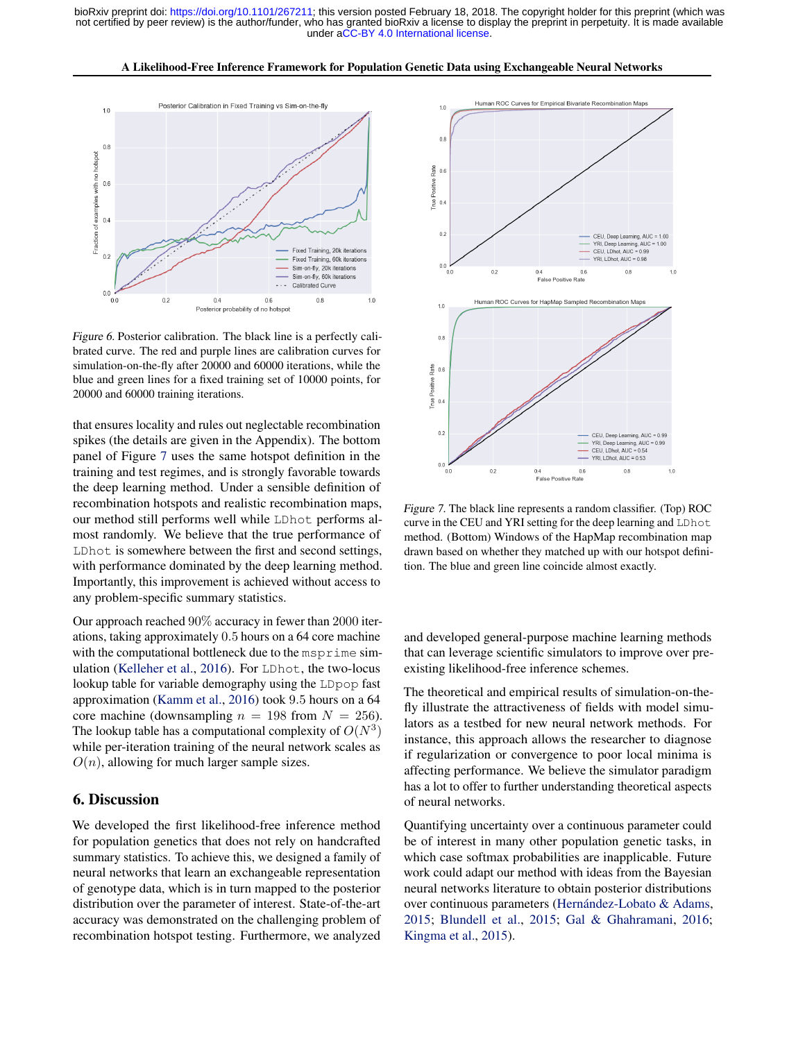A Likelihood-Free Inference Framework for Population Genetic Data using Exchangeable Neural Networks

<span id="page-7-0"></span>

Figure 6. Posterior calibration. The black line is a perfectly calibrated curve. The red and purple lines are calibration curves for simulation-on-the-fly after 20000 and 60000 iterations, while the blue and green lines for a fixed training set of 10000 points, for 20000 and 60000 training iterations.

that ensures locality and rules out neglectable recombination spikes (the details are given in the Appendix). The bottom panel of Figure 7 uses the same hotspot definition in the training and test regimes, and is strongly favorable towards the deep learning method. Under a sensible definition of recombination hotspots and realistic recombination maps, our method still performs well while LDhot performs almost randomly. We believe that the true performance of LDhot is somewhere between the first and second settings, with performance dominated by the deep learning method. Importantly, this improvement is achieved without access to any problem-specific summary statistics.

Our approach reached 90% accuracy in fewer than 2000 iterations, taking approximately 0.5 hours on a 64 core machine with the computational bottleneck due to the msprime simulation [\(Kelleher et al.,](#page-9-0) [2016\)](#page-9-0). For LDhot, the two-locus lookup table for variable demography using the LDpop fast approximation [\(Kamm et al.,](#page-9-0) [2016\)](#page-9-0) took 9.5 hours on a 64 core machine (downsampling  $n = 198$  from  $N = 256$ ). The lookup table has a computational complexity of  $O(N^3)$ while per-iteration training of the neural network scales as  $O(n)$ , allowing for much larger sample sizes.

### 6. Discussion

We developed the first likelihood-free inference method for population genetics that does not rely on handcrafted summary statistics. To achieve this, we designed a family of neural networks that learn an exchangeable representation of genotype data, which is in turn mapped to the posterior distribution over the parameter of interest. State-of-the-art accuracy was demonstrated on the challenging problem of recombination hotspot testing. Furthermore, we analyzed



Figure 7. The black line represents a random classifier. (Top) ROC curve in the CEU and YRI setting for the deep learning and LDhot method. (Bottom) Windows of the HapMap recombination map drawn based on whether they matched up with our hotspot definition. The blue and green line coincide almost exactly.

and developed general-purpose machine learning methods that can leverage scientific simulators to improve over preexisting likelihood-free inference schemes.

The theoretical and empirical results of simulation-on-thefly illustrate the attractiveness of fields with model simulators as a testbed for new neural network methods. For instance, this approach allows the researcher to diagnose if regularization or convergence to poor local minima is affecting performance. We believe the simulator paradigm has a lot to offer to further understanding theoretical aspects of neural networks.

Quantifying uncertainty over a continuous parameter could be of interest in many other population genetic tasks, in which case softmax probabilities are inapplicable. Future work could adapt our method with ideas from the Bayesian neural networks literature to obtain posterior distributions over continuous parameters [\(Hernández-Lobato & Adams,](#page-9-0) [2015;](#page-9-0) [Blundell et al.,](#page-8-0) [2015;](#page-8-0) [Gal & Ghahramani,](#page-8-0) [2016;](#page-8-0) [Kingma et al.,](#page-9-0) [2015\)](#page-9-0).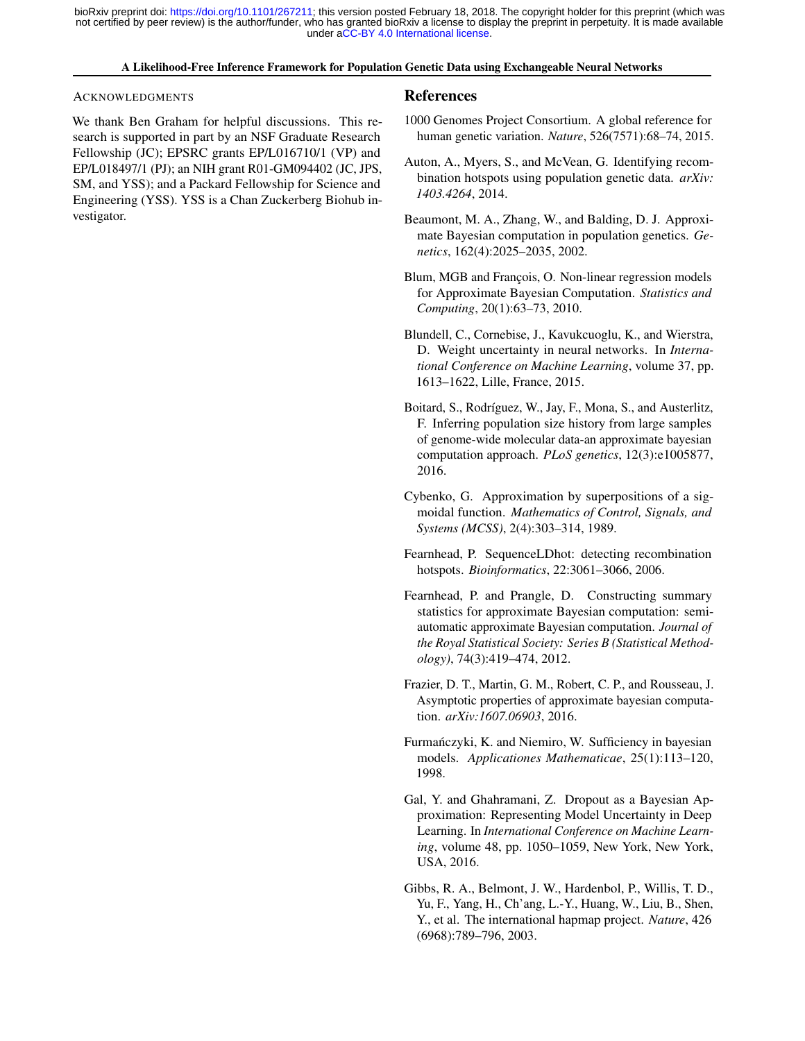#### A Likelihood-Free Inference Framework for Population Genetic Data using Exchangeable Neural Networks

#### <span id="page-8-0"></span>ACKNOWLEDGMENTS

We thank Ben Graham for helpful discussions. This research is supported in part by an NSF Graduate Research Fellowship (JC); EPSRC grants EP/L016710/1 (VP) and EP/L018497/1 (PJ); an NIH grant R01-GM094402 (JC, JPS, SM, and YSS); and a Packard Fellowship for Science and Engineering (YSS). YSS is a Chan Zuckerberg Biohub investigator.

#### References

- 1000 Genomes Project Consortium. A global reference for human genetic variation. *Nature*, 526(7571):68–74, 2015.
- Auton, A., Myers, S., and McVean, G. Identifying recombination hotspots using population genetic data. *arXiv: 1403.4264*, 2014.
- Beaumont, M. A., Zhang, W., and Balding, D. J. Approximate Bayesian computation in population genetics. *Genetics*, 162(4):2025–2035, 2002.
- Blum, MGB and François, O. Non-linear regression models for Approximate Bayesian Computation. *Statistics and Computing*, 20(1):63–73, 2010.
- Blundell, C., Cornebise, J., Kavukcuoglu, K., and Wierstra, D. Weight uncertainty in neural networks. In *International Conference on Machine Learning*, volume 37, pp. 1613–1622, Lille, France, 2015.
- Boitard, S., Rodríguez, W., Jay, F., Mona, S., and Austerlitz, F. Inferring population size history from large samples of genome-wide molecular data-an approximate bayesian computation approach. *PLoS genetics*, 12(3):e1005877, 2016.
- Cybenko, G. Approximation by superpositions of a sigmoidal function. *Mathematics of Control, Signals, and Systems (MCSS)*, 2(4):303–314, 1989.
- Fearnhead, P. SequenceLDhot: detecting recombination hotspots. *Bioinformatics*, 22:3061–3066, 2006.
- Fearnhead, P. and Prangle, D. Constructing summary statistics for approximate Bayesian computation: semiautomatic approximate Bayesian computation. *Journal of the Royal Statistical Society: Series B (Statistical Methodology)*, 74(3):419–474, 2012.
- Frazier, D. T., Martin, G. M., Robert, C. P., and Rousseau, J. Asymptotic properties of approximate bayesian computation. *arXiv:1607.06903*, 2016.
- Furmanczyki, K. and Niemiro, W. Sufficiency in bayesian ´ models. *Applicationes Mathematicae*, 25(1):113–120, 1998.
- Gal, Y. and Ghahramani, Z. Dropout as a Bayesian Approximation: Representing Model Uncertainty in Deep Learning. In *International Conference on Machine Learning*, volume 48, pp. 1050–1059, New York, New York, USA, 2016.
- Gibbs, R. A., Belmont, J. W., Hardenbol, P., Willis, T. D., Yu, F., Yang, H., Ch'ang, L.-Y., Huang, W., Liu, B., Shen, Y., et al. The international hapmap project. *Nature*, 426 (6968):789–796, 2003.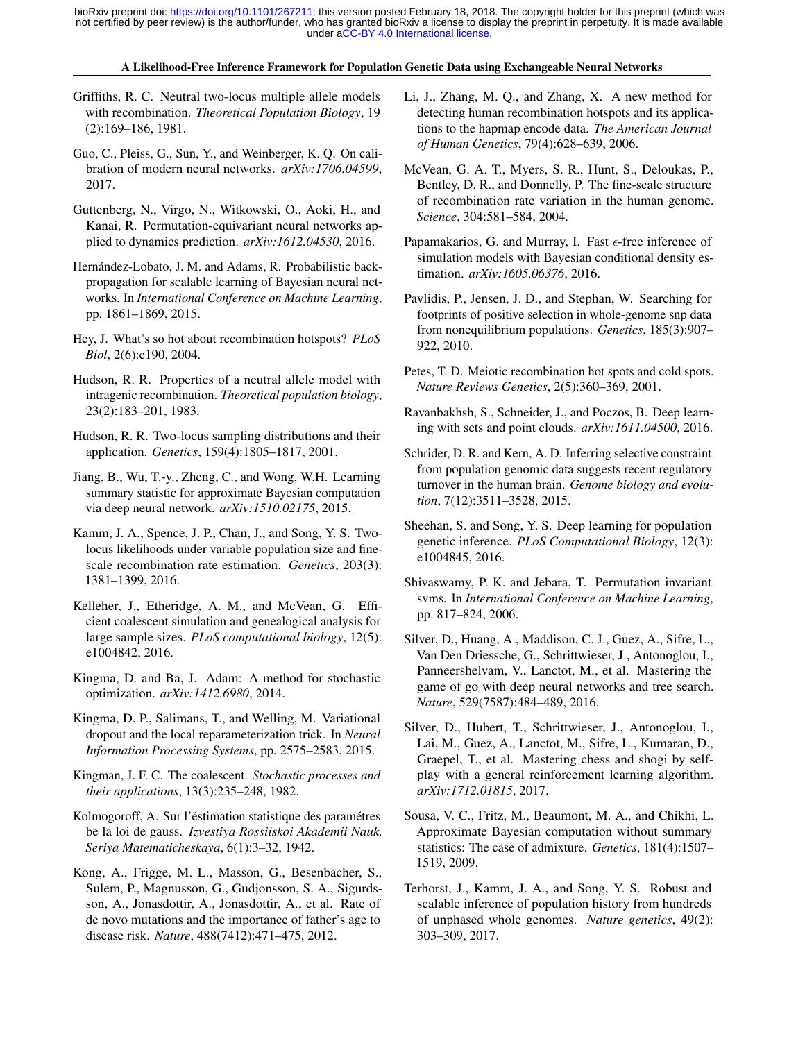#### A Likelihood-Free Inference Framework for Population Genetic Data using Exchangeable Neural Networks

- <span id="page-9-0"></span>Griffiths, R. C. Neutral two-locus multiple allele models with recombination. *Theoretical Population Biology*, 19 (2):169–186, 1981.
- Guo, C., Pleiss, G., Sun, Y., and Weinberger, K. Q. On calibration of modern neural networks. *arXiv:1706.04599*, 2017.
- Guttenberg, N., Virgo, N., Witkowski, O., Aoki, H., and Kanai, R. Permutation-equivariant neural networks applied to dynamics prediction. *arXiv:1612.04530*, 2016.
- Hernández-Lobato, J. M. and Adams, R. Probabilistic backpropagation for scalable learning of Bayesian neural networks. In *International Conference on Machine Learning*, pp. 1861–1869, 2015.
- Hey, J. What's so hot about recombination hotspots? *PLoS Biol*, 2(6):e190, 2004.
- Hudson, R. R. Properties of a neutral allele model with intragenic recombination. *Theoretical population biology*, 23(2):183–201, 1983.
- Hudson, R. R. Two-locus sampling distributions and their application. *Genetics*, 159(4):1805–1817, 2001.
- Jiang, B., Wu, T.-y., Zheng, C., and Wong, W.H. Learning summary statistic for approximate Bayesian computation via deep neural network. *arXiv:1510.02175*, 2015.
- Kamm, J. A., Spence, J. P., Chan, J., and Song, Y. S. Twolocus likelihoods under variable population size and finescale recombination rate estimation. *Genetics*, 203(3): 1381–1399, 2016.
- Kelleher, J., Etheridge, A. M., and McVean, G. Efficient coalescent simulation and genealogical analysis for large sample sizes. *PLoS computational biology*, 12(5): e1004842, 2016.
- Kingma, D. and Ba, J. Adam: A method for stochastic optimization. *arXiv:1412.6980*, 2014.
- Kingma, D. P., Salimans, T., and Welling, M. Variational dropout and the local reparameterization trick. In *Neural Information Processing Systems*, pp. 2575–2583, 2015.
- Kingman, J. F. C. The coalescent. *Stochastic processes and their applications*, 13(3):235–248, 1982.
- Kolmogoroff, A. Sur l'éstimation statistique des paramétres be la loi de gauss. *Izvestiya Rossiiskoi Akademii Nauk. Seriya Matematicheskaya*, 6(1):3–32, 1942.
- Kong, A., Frigge, M. L., Masson, G., Besenbacher, S., Sulem, P., Magnusson, G., Gudjonsson, S. A., Sigurdsson, A., Jonasdottir, A., Jonasdottir, A., et al. Rate of de novo mutations and the importance of father's age to disease risk. *Nature*, 488(7412):471–475, 2012.
- Li, J., Zhang, M. Q., and Zhang, X. A new method for detecting human recombination hotspots and its applications to the hapmap encode data. *The American Journal of Human Genetics*, 79(4):628–639, 2006.
- McVean, G. A. T., Myers, S. R., Hunt, S., Deloukas, P., Bentley, D. R., and Donnelly, P. The fine-scale structure of recombination rate variation in the human genome. *Science*, 304:581–584, 2004.
- Papamakarios, G. and Murray, I. Fast  $\epsilon$ -free inference of simulation models with Bayesian conditional density estimation. *arXiv:1605.06376*, 2016.
- Pavlidis, P., Jensen, J. D., and Stephan, W. Searching for footprints of positive selection in whole-genome snp data from nonequilibrium populations. *Genetics*, 185(3):907– 922, 2010.
- Petes, T. D. Meiotic recombination hot spots and cold spots. *Nature Reviews Genetics*, 2(5):360–369, 2001.
- Ravanbakhsh, S., Schneider, J., and Poczos, B. Deep learning with sets and point clouds. *arXiv:1611.04500*, 2016.
- Schrider, D. R. and Kern, A. D. Inferring selective constraint from population genomic data suggests recent regulatory turnover in the human brain. *Genome biology and evolution*, 7(12):3511–3528, 2015.
- Sheehan, S. and Song, Y. S. Deep learning for population genetic inference. *PLoS Computational Biology*, 12(3): e1004845, 2016.
- Shivaswamy, P. K. and Jebara, T. Permutation invariant svms. In *International Conference on Machine Learning*, pp. 817–824, 2006.
- Silver, D., Huang, A., Maddison, C. J., Guez, A., Sifre, L., Van Den Driessche, G., Schrittwieser, J., Antonoglou, I., Panneershelvam, V., Lanctot, M., et al. Mastering the game of go with deep neural networks and tree search. *Nature*, 529(7587):484–489, 2016.
- Silver, D., Hubert, T., Schrittwieser, J., Antonoglou, I., Lai, M., Guez, A., Lanctot, M., Sifre, L., Kumaran, D., Graepel, T., et al. Mastering chess and shogi by selfplay with a general reinforcement learning algorithm. *arXiv:1712.01815*, 2017.
- Sousa, V. C., Fritz, M., Beaumont, M. A., and Chikhi, L. Approximate Bayesian computation without summary statistics: The case of admixture. *Genetics*, 181(4):1507– 1519, 2009.
- Terhorst, J., Kamm, J. A., and Song, Y. S. Robust and scalable inference of population history from hundreds of unphased whole genomes. *Nature genetics*, 49(2): 303–309, 2017.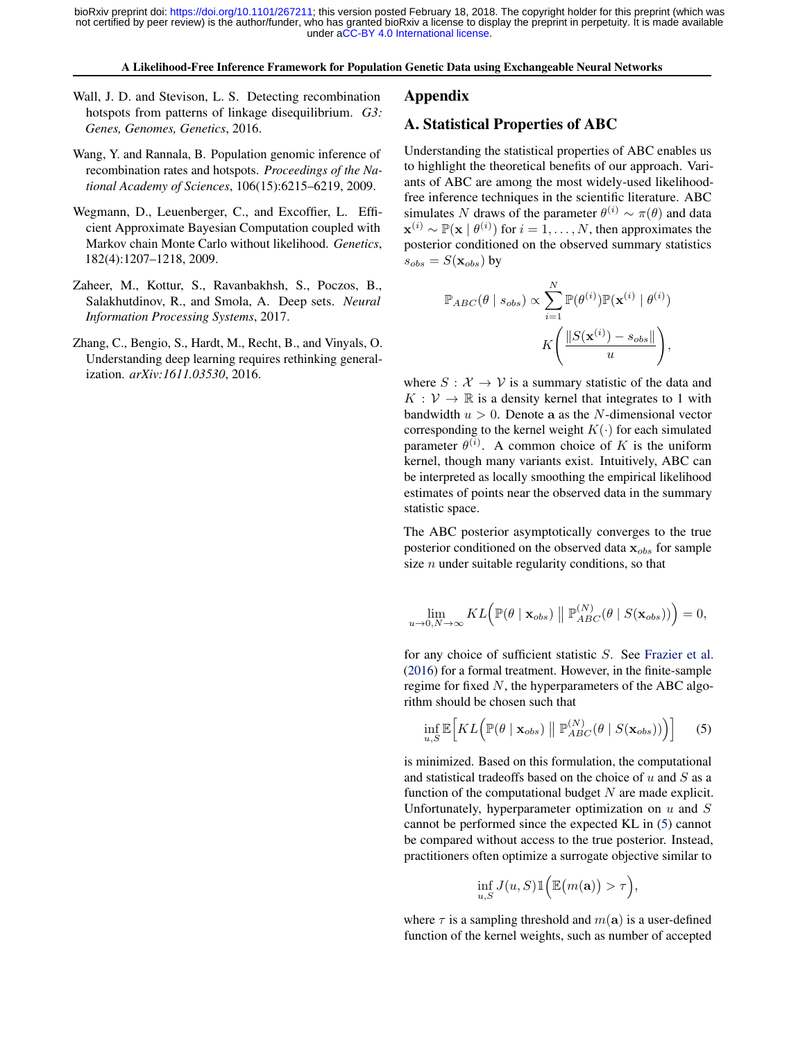#### A Likelihood-Free Inference Framework for Population Genetic Data using Exchangeable Neural Networks

- <span id="page-10-0"></span>Wall, J. D. and Stevison, L. S. Detecting recombination hotspots from patterns of linkage disequilibrium. *G3: Genes, Genomes, Genetics*, 2016.
- Wang, Y. and Rannala, B. Population genomic inference of recombination rates and hotspots. *Proceedings of the National Academy of Sciences*, 106(15):6215–6219, 2009.
- Wegmann, D., Leuenberger, C., and Excoffier, L. Efficient Approximate Bayesian Computation coupled with Markov chain Monte Carlo without likelihood. *Genetics*, 182(4):1207–1218, 2009.
- Zaheer, M., Kottur, S., Ravanbakhsh, S., Poczos, B., Salakhutdinov, R., and Smola, A. Deep sets. *Neural Information Processing Systems*, 2017.
- Zhang, C., Bengio, S., Hardt, M., Recht, B., and Vinyals, O. Understanding deep learning requires rethinking generalization. *arXiv:1611.03530*, 2016.

#### Appendix

#### A. Statistical Properties of ABC

Understanding the statistical properties of ABC enables us to highlight the theoretical benefits of our approach. Variants of ABC are among the most widely-used likelihoodfree inference techniques in the scientific literature. ABC simulates N draws of the parameter  $\theta^{(i)} \sim \pi(\theta)$  and data  $\mathbf{x}^{(i)} \sim \mathbb{P}(\mathbf{x} \mid \theta^{(i)})$  for  $i = 1, \dots, N$ , then approximates the posterior conditioned on the observed summary statistics  $s_{obs} = S(\mathbf{x}_{obs})$  by

$$
\mathbb{P}_{ABC}(\theta \mid s_{obs}) \propto \sum_{i=1}^{N} \mathbb{P}(\theta^{(i)}) \mathbb{P}(\mathbf{x}^{(i)} \mid \theta^{(i)})
$$

$$
K\left(\frac{\|S(\mathbf{x}^{(i)}) - s_{obs}\|}{u}\right),
$$

where  $S: \mathcal{X} \to \mathcal{V}$  is a summary statistic of the data and  $K: V \to \mathbb{R}$  is a density kernel that integrates to 1 with bandwidth  $u > 0$ . Denote a as the N-dimensional vector corresponding to the kernel weight  $K(\cdot)$  for each simulated parameter  $\theta^{(i)}$ . A common choice of K is the uniform kernel, though many variants exist. Intuitively, ABC can be interpreted as locally smoothing the empirical likelihood estimates of points near the observed data in the summary statistic space.

The ABC posterior asymptotically converges to the true posterior conditioned on the observed data  $x_{obs}$  for sample size  $n$  under suitable regularity conditions, so that

$$
\lim_{u\rightarrow 0,N\rightarrow\infty}KL\Big(\mathbb{P}(\theta\mid\mathbf{x}_{obs})\parallel\mathbb{P}^{(N)}_{ABC}(\theta\mid S(\mathbf{x}_{obs}))\Big)=0,
$$

for any choice of sufficient statistic S. See [Frazier et al.](#page-8-0) [\(2016\)](#page-8-0) for a formal treatment. However, in the finite-sample regime for fixed  $N$ , the hyperparameters of the ABC algorithm should be chosen such that

$$
\inf_{u,S} \mathbb{E}\Big[KL\Big(\mathbb{P}(\theta \mid \mathbf{x}_{obs}) \parallel \mathbb{P}_{ABC}^{(N)}(\theta \mid S(\mathbf{x}_{obs}))\Big)\Big] \qquad (5)
$$

is minimized. Based on this formulation, the computational and statistical tradeoffs based on the choice of  $u$  and  $S$  as a function of the computational budget  $N$  are made explicit. Unfortunately, hyperparameter optimization on  $u$  and  $S$ cannot be performed since the expected KL in (5) cannot be compared without access to the true posterior. Instead, practitioners often optimize a surrogate objective similar to

$$
\inf_{u,S} J(u, S) 1\Big(\mathbb{E}\big(m(\mathbf{a})\big) > \tau\Big),\,
$$

where  $\tau$  is a sampling threshold and  $m(\mathbf{a})$  is a user-defined function of the kernel weights, such as number of accepted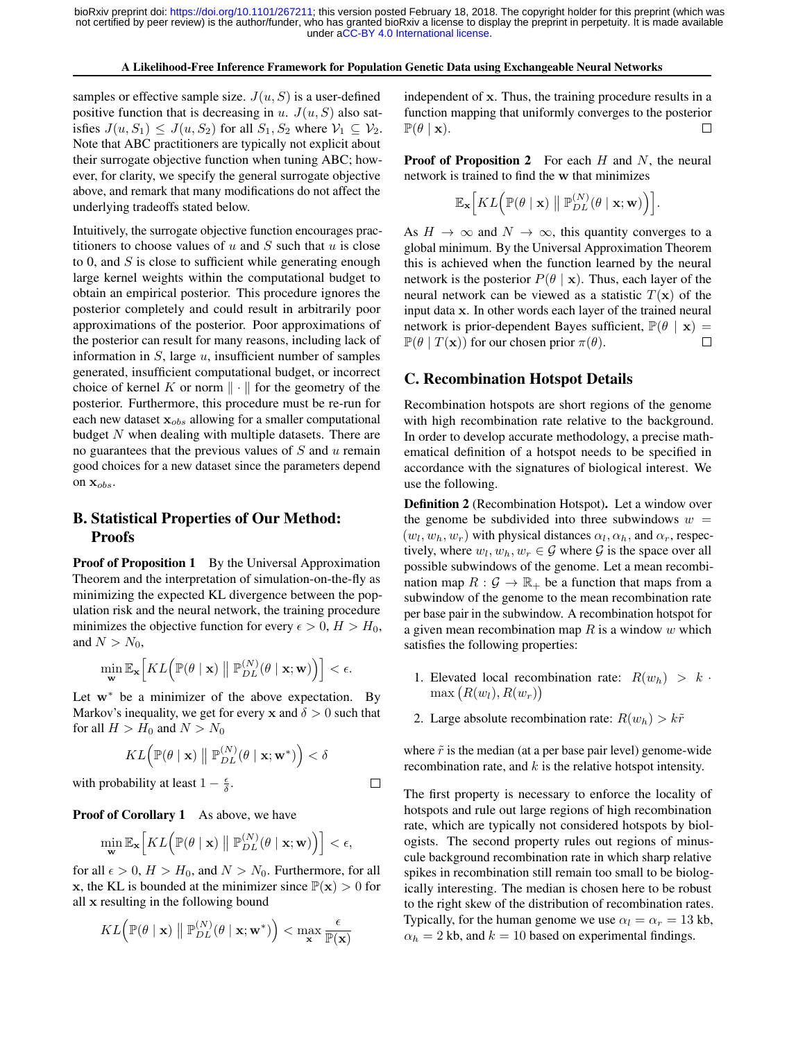#### A Likelihood-Free Inference Framework for Population Genetic Data using Exchangeable Neural Networks

samples or effective sample size.  $J(u, S)$  is a user-defined positive function that is decreasing in  $u$ .  $J(u, S)$  also satisfies  $J(u, S_1) \leq J(u, S_2)$  for all  $S_1, S_2$  where  $V_1 \subseteq V_2$ . Note that ABC practitioners are typically not explicit about their surrogate objective function when tuning ABC; however, for clarity, we specify the general surrogate objective above, and remark that many modifications do not affect the underlying tradeoffs stated below.

Intuitively, the surrogate objective function encourages practitioners to choose values of  $u$  and  $S$  such that  $u$  is close to 0, and  $S$  is close to sufficient while generating enough large kernel weights within the computational budget to obtain an empirical posterior. This procedure ignores the posterior completely and could result in arbitrarily poor approximations of the posterior. Poor approximations of the posterior can result for many reasons, including lack of information in  $S$ , large  $u$ , insufficient number of samples generated, insufficient computational budget, or incorrect choice of kernel K or norm  $\|\cdot\|$  for the geometry of the posterior. Furthermore, this procedure must be re-run for each new dataset  $x_{obs}$  allowing for a smaller computational budget  $N$  when dealing with multiple datasets. There are no guarantees that the previous values of  $S$  and  $u$  remain good choices for a new dataset since the parameters depend on  $\mathbf{x}_{obs}$ .

# B. Statistical Properties of Our Method: Proofs

Proof of Proposition 1 By the Universal Approximation Theorem and the interpretation of simulation-on-the-fly as minimizing the expected KL divergence between the population risk and the neural network, the training procedure minimizes the objective function for every  $\epsilon > 0$ ,  $H > H_0$ , and  $N > N_0$ ,

$$
\min_{\mathbf{w}} \mathbb{E}_{\mathbf{x}} \Big[ KL \Big( \mathbb{P}(\theta \mid \mathbf{x}) \bigm\| \mathbb{P}_{DL}^{(N)}(\theta \mid \mathbf{x}; \mathbf{w}) \Big) \Big] < \epsilon.
$$

Let  $w^*$  be a minimizer of the above expectation. By Markov's inequality, we get for every x and  $\delta > 0$  such that for all  $H > H_0$  and  $N > N_0$ 

$$
KL\Big(\mathbb{P}(\theta \mid \mathbf{x}) \parallel \mathbb{P}_{DL}^{(N)}(\theta \mid \mathbf{x}; \mathbf{w}^*)\Big) < \delta
$$

 $\Box$ 

with probability at least  $1 - \frac{\epsilon}{\delta}$ .

Proof of Corollary 1 As above, we have

$$
\min_{\mathbf{w}} \mathbb{E}_{\mathbf{x}}\Big[KL\Big(\mathbb{P}(\theta \mid \mathbf{x}) \bigm\|\mathbb{P}_{DL}^{(N)}(\theta \mid \mathbf{x}; \mathbf{w})\Big)\Big] < \epsilon,
$$

for all  $\epsilon > 0$ ,  $H > H_0$ , and  $N > N_0$ . Furthermore, for all x, the KL is bounded at the minimizer since  $\mathbb{P}(\mathbf{x}) > 0$  for all x resulting in the following bound

$$
KL\left(\mathbb{P}(\theta \mid \mathbf{x}) \parallel \mathbb{P}_{DL}^{(N)}(\theta \mid \mathbf{x}; \mathbf{w}^*)\right) < \max_{\mathbf{x}} \frac{\epsilon}{\mathbb{P}(\mathbf{x})}
$$

independent of x. Thus, the training procedure results in a function mapping that uniformly converges to the posterior  $\mathbb{P}(\theta \mid \mathbf{x}).$ П

**Proof of Proposition 2** For each  $H$  and  $N$ , the neural network is trained to find the w that minimizes

$$
\mathbb{E}_{\mathbf{x}}\Big[KL\Big(\mathbb{P}(\theta \mid \mathbf{x}) \parallel \mathbb{P}_{DL}^{(N)}(\theta \mid \mathbf{x}; \mathbf{w})\Big)\Big].
$$

As  $H \to \infty$  and  $N \to \infty$ , this quantity converges to a global minimum. By the Universal Approximation Theorem this is achieved when the function learned by the neural network is the posterior  $P(\theta | \mathbf{x})$ . Thus, each layer of the neural network can be viewed as a statistic  $T(\mathbf{x})$  of the input data x. In other words each layer of the trained neural network is prior-dependent Bayes sufficient,  $\mathbb{P}(\theta | \mathbf{x}) =$  $\mathbb{P}(\theta | T(\mathbf{x}))$  for our chosen prior  $\pi(\theta)$ .  $\Box$ 

# C. Recombination Hotspot Details

Recombination hotspots are short regions of the genome with high recombination rate relative to the background. In order to develop accurate methodology, a precise mathematical definition of a hotspot needs to be specified in accordance with the signatures of biological interest. We use the following.

Definition 2 (Recombination Hotspot). Let a window over the genome be subdivided into three subwindows  $w =$  $(w_l, w_h, w_r)$  with physical distances  $\alpha_l, \alpha_h$ , and  $\alpha_r$ , respectively, where  $w_l, w_h, w_r \in \mathcal{G}$  where  $\mathcal{G}$  is the space over all possible subwindows of the genome. Let a mean recombination map  $R: \mathcal{G} \to \mathbb{R}_+$  be a function that maps from a subwindow of the genome to the mean recombination rate per base pair in the subwindow. A recombination hotspot for a given mean recombination map  $R$  is a window  $w$  which satisfies the following properties:

- 1. Elevated local recombination rate:  $R(w_h) > k$ .  $max(R(w_l), R(w_r))$
- 2. Large absolute recombination rate:  $R(w_h) > k\tilde{r}$

where  $\tilde{r}$  is the median (at a per base pair level) genome-wide recombination rate, and  $k$  is the relative hotspot intensity.

The first property is necessary to enforce the locality of hotspots and rule out large regions of high recombination rate, which are typically not considered hotspots by biologists. The second property rules out regions of minuscule background recombination rate in which sharp relative spikes in recombination still remain too small to be biologically interesting. The median is chosen here to be robust to the right skew of the distribution of recombination rates. Typically, for the human genome we use  $\alpha_l = \alpha_r = 13$  kb,  $\alpha_h = 2$  kb, and  $k = 10$  based on experimental findings.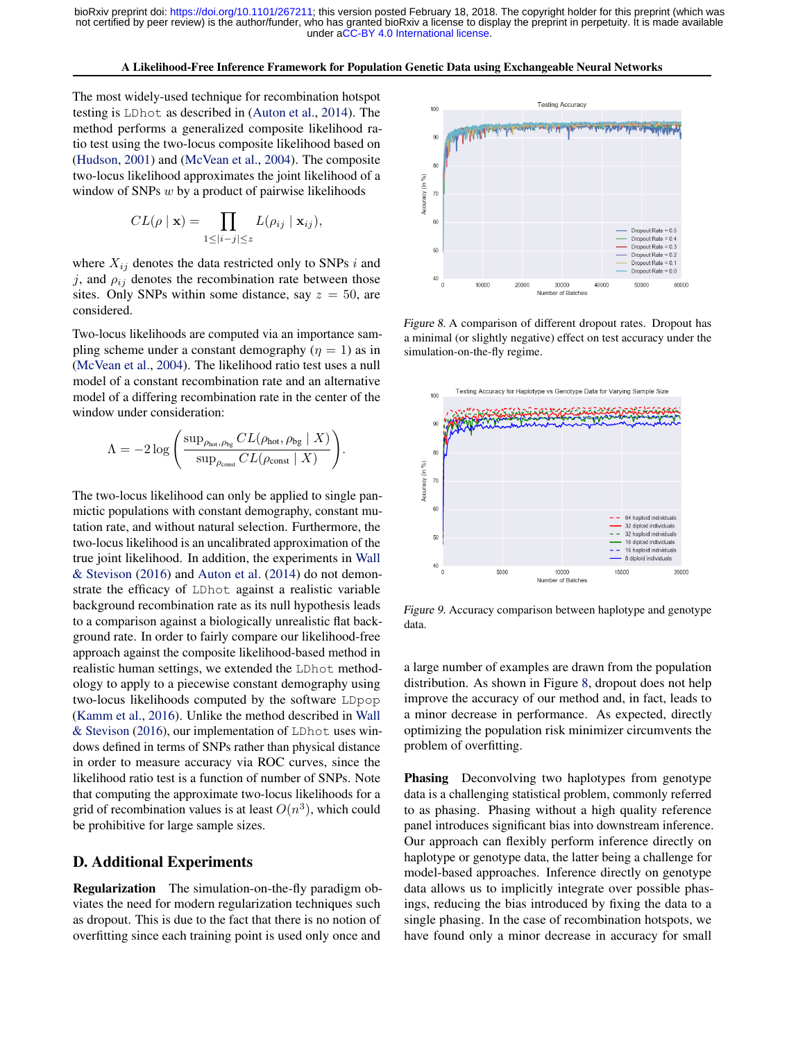A Likelihood-Free Inference Framework for Population Genetic Data using Exchangeable Neural Networks

<span id="page-12-0"></span>The most widely-used technique for recombination hotspot testing is LDhot as described in [\(Auton et al.,](#page-8-0) [2014\)](#page-8-0). The method performs a generalized composite likelihood ratio test using the two-locus composite likelihood based on [\(Hudson,](#page-9-0) [2001\)](#page-9-0) and [\(McVean et al.,](#page-9-0) [2004\)](#page-9-0). The composite two-locus likelihood approximates the joint likelihood of a window of SNPs  $w$  by a product of pairwise likelihoods

$$
CL(\rho \mid \mathbf{x}) = \prod_{1 \leq |i-j| \leq z} L(\rho_{ij} \mid \mathbf{x}_{ij}),
$$

where  $X_{ij}$  denotes the data restricted only to SNPs i and j, and  $\rho_{ij}$  denotes the recombination rate between those sites. Only SNPs within some distance, say  $z = 50$ , are considered.

Two-locus likelihoods are computed via an importance sampling scheme under a constant demography  $(\eta = 1)$  as in [\(McVean et al.,](#page-9-0) [2004\)](#page-9-0). The likelihood ratio test uses a null model of a constant recombination rate and an alternative model of a differing recombination rate in the center of the window under consideration:

$$
\Lambda = -2 \log \left( \frac{\sup_{\rho_{\text{hot}}, \rho_{\text{bg}}} CL(\rho_{\text{hot}}, \rho_{\text{bg}} \mid X)}{\sup_{\rho_{\text{const}}} CL(\rho_{\text{const}} \mid X)} \right)
$$

.

The two-locus likelihood can only be applied to single panmictic populations with constant demography, constant mutation rate, and without natural selection. Furthermore, the two-locus likelihood is an uncalibrated approximation of the true joint likelihood. In addition, the experiments in [Wall](#page-10-0) [& Stevison](#page-10-0) [\(2016\)](#page-10-0) and [Auton et al.](#page-8-0) [\(2014\)](#page-8-0) do not demonstrate the efficacy of LDhot against a realistic variable background recombination rate as its null hypothesis leads to a comparison against a biologically unrealistic flat background rate. In order to fairly compare our likelihood-free approach against the composite likelihood-based method in realistic human settings, we extended the LDhot methodology to apply to a piecewise constant demography using two-locus likelihoods computed by the software LDpop [\(Kamm et al.,](#page-9-0) [2016\)](#page-9-0). Unlike the method described in [Wall](#page-10-0) [& Stevison](#page-10-0) [\(2016\)](#page-10-0), our implementation of LDhot uses windows defined in terms of SNPs rather than physical distance in order to measure accuracy via ROC curves, since the likelihood ratio test is a function of number of SNPs. Note that computing the approximate two-locus likelihoods for a grid of recombination values is at least  $O(n^3)$ , which could be prohibitive for large sample sizes.

# D. Additional Experiments

Regularization The simulation-on-the-fly paradigm obviates the need for modern regularization techniques such as dropout. This is due to the fact that there is no notion of overfitting since each training point is used only once and



Figure 8. A comparison of different dropout rates. Dropout has a minimal (or slightly negative) effect on test accuracy under the simulation-on-the-fly regime.



Figure 9. Accuracy comparison between haplotype and genotype data.

a large number of examples are drawn from the population distribution. As shown in Figure 8, dropout does not help improve the accuracy of our method and, in fact, leads to a minor decrease in performance. As expected, directly optimizing the population risk minimizer circumvents the problem of overfitting.

Phasing Deconvolving two haplotypes from genotype data is a challenging statistical problem, commonly referred to as phasing. Phasing without a high quality reference panel introduces significant bias into downstream inference. Our approach can flexibly perform inference directly on haplotype or genotype data, the latter being a challenge for model-based approaches. Inference directly on genotype data allows us to implicitly integrate over possible phasings, reducing the bias introduced by fixing the data to a single phasing. In the case of recombination hotspots, we have found only a minor decrease in accuracy for small